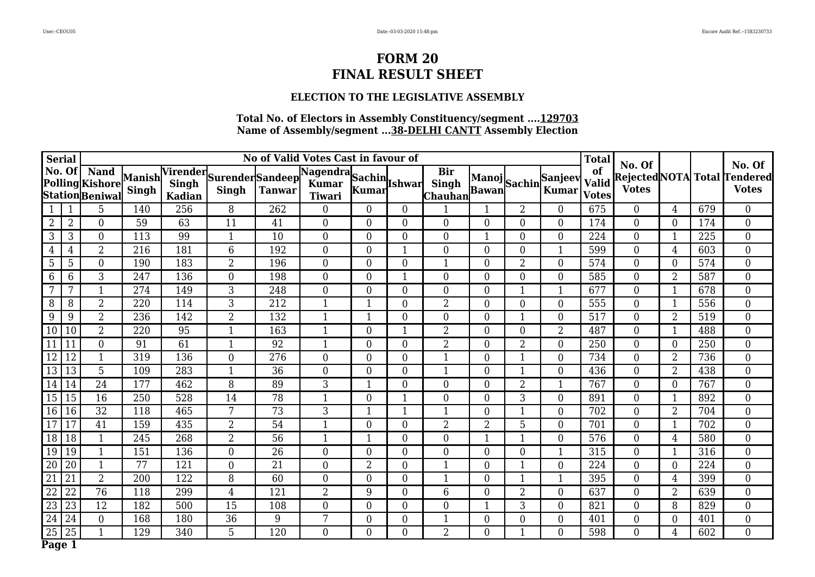### **ELECTION TO THE LEGISLATIVE ASSEMBLY**

|                | No of Valid Votes Cast in favour of<br><b>Serial</b> |                                                          |              |               |                                           |                  |                                         |                  |                  |                                        |                  |                | <b>Total</b>                |                                    |                        |                | No. Of |                                                     |
|----------------|------------------------------------------------------|----------------------------------------------------------|--------------|---------------|-------------------------------------------|------------------|-----------------------------------------|------------------|------------------|----------------------------------------|------------------|----------------|-----------------------------|------------------------------------|------------------------|----------------|--------|-----------------------------------------------------|
|                | No. Of                                               | <b>Nand</b><br>Polling Kishore Manish<br>Station Beniwal | <b>Singh</b> | <b>Kadian</b> | Virender Surender Sandeep<br><b>Singh</b> | <b>Tanwar</b>    | Nagendra Sachin Ishwar<br><b>Tiwari</b> |                  |                  | <b>Bir</b><br><b>Singh</b><br> Chauhan |                  |                | Manoj<br>Bawan Sachin Kumar | of<br><b>Valid</b><br><b>Votes</b> | No. Of<br><b>Votes</b> |                |        | <b>Rejected NOTA</b> Total Tendered<br><b>Votes</b> |
|                |                                                      | 5                                                        | 140          | 256           | 8                                         | 262              | $\overline{0}$                          | $\Omega$         | $\overline{0}$   |                                        |                  | 2              | $\Omega$                    | 675                                | $\overline{0}$         | 4              | 679    | $\boldsymbol{0}$                                    |
| $\overline{2}$ | $\overline{2}$                                       | $\boldsymbol{0}$                                         | 59           | 63            | 11                                        | 41               | $\boldsymbol{0}$                        | $\overline{0}$   | $\overline{0}$   | $\overline{0}$                         | $\overline{0}$   | $\overline{0}$ | $\overline{0}$              | 174                                | $\overline{0}$         | $\overline{0}$ | 174    | $\boldsymbol{0}$                                    |
| 3              | 3                                                    | $\boldsymbol{0}$                                         | 113          | 99            | $\mathbf{1}$                              | 10               | 0                                       | $\overline{0}$   | $\overline{0}$   | $\overline{0}$                         | $\mathbf 1$      | $\Omega$       | $\overline{0}$              | 224                                | $\mathbf{0}$           | 1              | 225    | $\boldsymbol{0}$                                    |
| 4              | 4                                                    | $\overline{2}$                                           | 216          | 181           | $6\phantom{1}$                            | 192              | $\boldsymbol{0}$                        | $\overline{0}$   | 1                | $\overline{0}$                         | $\overline{0}$   | $\overline{0}$ | $\mathbf{1}$                | 599                                | $\boldsymbol{0}$       | 4              | 603    | $\boldsymbol{0}$                                    |
| 5              | 5                                                    | $\boldsymbol{0}$                                         | 190          | 183           | $\overline{2}$                            | 196              | $\overline{0}$                          | $\overline{0}$   | $\overline{0}$   | 1                                      | $\overline{0}$   | $\overline{2}$ | $\overline{0}$              | 574                                | $\boldsymbol{0}$       | $\overline{0}$ | 574    | $\boldsymbol{0}$                                    |
| 6              | 6                                                    | 3                                                        | 247          | 136           | $\boldsymbol{0}$                          | 198              | $\boldsymbol{0}$                        | $\overline{0}$   | 1                | $\boldsymbol{0}$                       | $\overline{0}$   | $\overline{0}$ | $\overline{0}$              | 585                                | $\boldsymbol{0}$       | $\overline{2}$ | 587    | $\boldsymbol{0}$                                    |
| 7              | 7                                                    | $\mathbf{1}$                                             | 274          | 149           | 3                                         | 248              | $\boldsymbol{0}$                        | $\overline{0}$   | $\boldsymbol{0}$ | $\overline{0}$                         | $\overline{0}$   |                |                             | 677                                | $\mathbf{0}$           |                | 678    | $\overline{0}$                                      |
| 8              | 8                                                    | $\overline{2}$                                           | 220          | 114           | 3                                         | $\overline{212}$ | $\mathbf{1}$                            |                  | $\overline{0}$   | $\overline{2}$                         | $\overline{0}$   | $\overline{0}$ | $\overline{0}$              | 555                                | $\overline{0}$         | 1              | 556    | $\overline{0}$                                      |
| 9              | 9                                                    | $\overline{2}$                                           | 236          | 142           | $\overline{2}$                            | 132              | $\mathbf{1}$                            |                  | $\overline{0}$   | $\overline{0}$                         | $\overline{0}$   |                | $\overline{0}$              | 517                                | $\overline{0}$         | $\overline{2}$ | 519    | $\overline{0}$                                      |
| 10             | 10                                                   | $\overline{2}$                                           | 220          | 95            | $\mathbf{1}$                              | 163              | 1                                       | $\Omega$         |                  | $\overline{2}$                         | $\theta$         | $\Omega$       | $\overline{2}$              | 487                                | $\overline{0}$         |                | 488    | $\overline{0}$                                      |
| 11             | 11                                                   | $\mathbf{0}$                                             | 91           | 61            | $\mathbf{1}$                              | 92               | $\mathbf{1}$                            | $\Omega$         | $\Omega$         | $\overline{2}$                         | $\Omega$         | 2              | $\overline{0}$              | 250                                | $\overline{0}$         | $\Omega$       | 250    | $\overline{0}$                                      |
| 12             | 12                                                   | $\mathbf{1}$                                             | 319          | 136           | $\overline{0}$                            | $\overline{276}$ | $\overline{0}$                          | $\theta$         | $\overline{0}$   | $\mathbf{1}$                           | $\theta$         |                | $\Omega$                    | 734                                | $\overline{0}$         | $\overline{2}$ | 736    | $\overline{0}$                                      |
| 13             | 13                                                   | 5                                                        | 109          | 283           | $\mathbf{1}$                              | 36               | $\overline{0}$                          | $\Omega$         | $\overline{0}$   | 1                                      | $\Omega$         |                | $\overline{0}$              | 436                                | $\overline{0}$         | $\overline{2}$ | 438    | $\overline{0}$                                      |
| 14             | 14                                                   | $\overline{24}$                                          | 177          | 462           | 8                                         | 89               | $\overline{3}$                          |                  | $\overline{0}$   | $\overline{0}$                         | $\overline{0}$   | $\overline{2}$ |                             | 767                                | $\overline{0}$         | $\overline{0}$ | 767    | $\overline{0}$                                      |
| 15             | 15                                                   | $\overline{16}$                                          | 250          | 528           | 14                                        | 78               | $\mathbf{1}$                            | $\Omega$         |                  | $\overline{0}$                         | $\Omega$         | 3              | $\overline{0}$              | 891                                | $\mathbf{0}$           | 1              | 892    | $\overline{0}$                                      |
| 16             | $\overline{16}$                                      | $\overline{32}$                                          | 118          | 465           | $7\overline{ }$                           | $\overline{73}$  | $\overline{3}$                          |                  |                  | 1                                      | $\overline{0}$   |                | $\overline{0}$              | 702                                | $\overline{0}$         | $\overline{2}$ | 704    | $\overline{0}$                                      |
| 17             | 17                                                   | 41                                                       | 159          | 435           | $\overline{2}$                            | 54               | 1                                       | $\Omega$         | $\overline{0}$   | $\overline{2}$                         | $\overline{2}$   | 5              | $\overline{0}$              | 701                                | $\overline{0}$         |                | 702    | $\overline{0}$                                      |
| 18             | $\overline{18}$                                      | $\mathbf{1}$                                             | 245          | 268           | $\overline{2}$                            | $\overline{56}$  | 1                                       |                  | $\overline{0}$   | $\overline{0}$                         |                  |                | $\overline{0}$              | 576                                | $\overline{0}$         | 4              | 580    | $\overline{0}$                                      |
| 19             | 19                                                   | $\mathbf{1}$                                             | 151          | 136           | $\boldsymbol{0}$                          | 26               | $\boldsymbol{0}$                        | $\overline{0}$   | $\overline{0}$   | $\overline{0}$                         | $\overline{0}$   | $\Omega$       | 1                           | 315                                | $\overline{0}$         | 1              | 316    | $\overline{0}$                                      |
| 20             | 20                                                   | $\mathbf{1}$                                             | 77           | 121           | $\boldsymbol{0}$                          | 21               | $\boldsymbol{0}$                        | $\overline{2}$   | $\boldsymbol{0}$ | $\mathbf{1}$                           | $\overline{0}$   |                | $\overline{0}$              | 224                                | $\overline{0}$         | $\theta$       | 224    | $\overline{0}$                                      |
| 21             | 21                                                   | $\overline{2}$                                           | 200          | 122           | 8                                         | 60               | $\overline{0}$                          | $\overline{0}$   | $\overline{0}$   | $\mathbf{1}$                           | $\overline{0}$   |                |                             | 395                                | $\overline{0}$         | 4              | 399    | $\overline{0}$                                      |
| 22             | 22                                                   | $\overline{76}$                                          | 118          | 299           | $\overline{4}$                            | 121              | $\overline{2}$                          | 9                | $\boldsymbol{0}$ | 6                                      | $\overline{0}$   | 2              | $\overline{0}$              | 637                                | $\overline{0}$         | $\overline{2}$ | 639    | $\boldsymbol{0}$                                    |
| 23             | 23                                                   | 12                                                       | 182          | 500           | 15                                        | 108              | $\overline{0}$                          | $\overline{0}$   | $\overline{0}$   | $\boldsymbol{0}$                       | $\mathbf 1$      | 3              | $\overline{0}$              | 821                                | $\overline{0}$         | 8              | 829    | $\overline{0}$                                      |
| 24             | 24                                                   | $\overline{0}$                                           | 168          | 180           | 36                                        | 9                | 7                                       | $\boldsymbol{0}$ | $\boldsymbol{0}$ | 1                                      | $\boldsymbol{0}$ | $\overline{0}$ | $\overline{0}$              | 401                                | $\overline{0}$         | $\theta$       | 401    | $\boldsymbol{0}$                                    |
| 25             | 25                                                   | 1                                                        | 129          | 340           | 5                                         | 120              | $\overline{0}$                          | $\overline{0}$   | $\overline{0}$   | $\overline{2}$                         | $\overline{0}$   |                | $\overline{0}$              | 598                                | $\overline{0}$         | 4              | 602    | $\overline{0}$                                      |
| Page 1         |                                                      |                                                          |              |               |                                           |                  |                                         |                  |                  |                                        |                  |                |                             |                                    |                        |                |        |                                                     |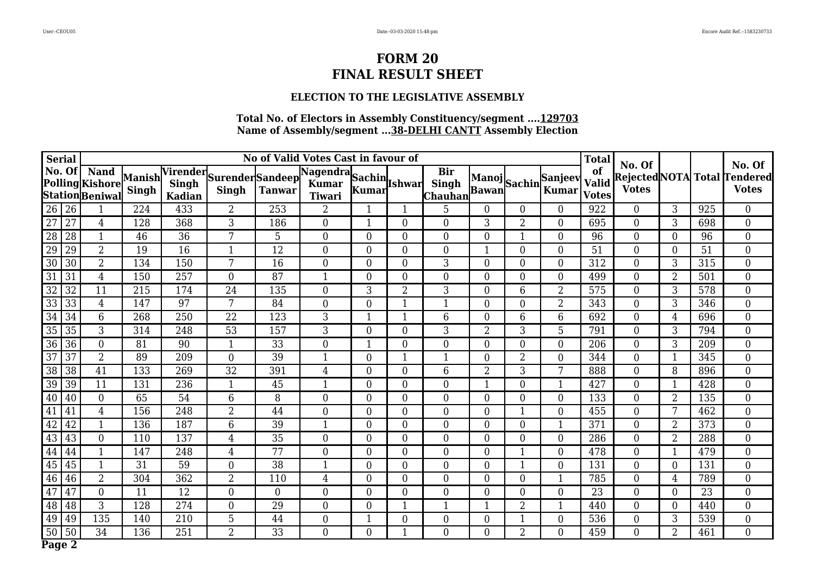### **ELECTION TO THE LEGISLATIVE ASSEMBLY**

| <b>Serial</b>   | No of Valid Votes Cast in favour of |                                                          |              |               |                                           |                  |                                         |                |                  |                                        |                  |                | <b>Total</b>                |                                    |                        |                | No. Of |                                                     |
|-----------------|-------------------------------------|----------------------------------------------------------|--------------|---------------|-------------------------------------------|------------------|-----------------------------------------|----------------|------------------|----------------------------------------|------------------|----------------|-----------------------------|------------------------------------|------------------------|----------------|--------|-----------------------------------------------------|
| No. Of          |                                     | <b>Nand</b><br>Polling Kishore Manish<br>Station Beniwal | <b>Singh</b> | <b>Kadian</b> | Virender Surender Sandeep<br><b>Singh</b> | <b>Tanwar</b>    | Nagendra Sachin Ishwar<br><b>Tiwari</b> | Kumar          |                  | <b>Bir</b><br><b>Singh</b><br> Chauhan |                  |                | Manoj<br>Bawan Sachin Kumar | of<br><b>Valid</b><br><b>Votes</b> | No. Of<br><b>Votes</b> |                |        | <b>Rejected NOTA</b> Total Tendered<br><b>Votes</b> |
| 26              | 26                                  |                                                          | 224          | 433           | $\overline{2}$                            | 253              | 2                                       |                |                  | 5                                      | 0                | $\Omega$       | $\Omega$                    | 922                                | $\overline{0}$         | 3              | 925    | $\boldsymbol{0}$                                    |
| 27              | 27                                  | $\overline{4}$                                           | 128          | 368           | 3                                         | 186              | $\boldsymbol{0}$                        |                | $\boldsymbol{0}$ | $\overline{0}$                         | 3                | $\overline{2}$ | $\overline{0}$              | 695                                | $\overline{0}$         | 3              | 698    | $\boldsymbol{0}$                                    |
| 28              | 28                                  | $\mathbf{1}$                                             | 46           | 36            | 7                                         | $5\,$            | 0                                       | $\overline{0}$ | $\overline{0}$   | $\overline{0}$                         | $\overline{0}$   |                | $\overline{0}$              | 96                                 | $\mathbf{0}$           | 0              | 96     | $\boldsymbol{0}$                                    |
| 29              | 29                                  | $\overline{2}$                                           | 19           | 16            | $\mathbf{1}$                              | 12               | $\boldsymbol{0}$                        | $\overline{0}$ | $\boldsymbol{0}$ | $\boldsymbol{0}$                       | 1                | $\overline{0}$ | $\overline{0}$              | 51                                 | $\overline{0}$         | $\overline{0}$ | 51     | $\boldsymbol{0}$                                    |
| 30              | 30                                  | $\overline{2}$                                           | 134          | 150           | 7                                         | 16               | $\boldsymbol{0}$                        | $\overline{0}$ | $\overline{0}$   | 3                                      | $\overline{0}$   | $\Omega$       | $\overline{0}$              | 312                                | $\mathbf{0}$           | 3              | 315    | $\boldsymbol{0}$                                    |
| 31              | 31                                  | $\overline{4}$                                           | 150          | 257           | $\boldsymbol{0}$                          | 87               | $\mathbf{1}$                            | $\overline{0}$ | $\boldsymbol{0}$ | $\boldsymbol{0}$                       | $\overline{0}$   | $\overline{0}$ | $\overline{0}$              | 499                                | $\boldsymbol{0}$       | $\overline{2}$ | 501    | $\boldsymbol{0}$                                    |
| 32              | 32                                  | 11                                                       | 215          | 174           | 24                                        | 135              | $\boldsymbol{0}$                        | 3              | $\overline{2}$   | 3                                      | $\overline{0}$   | 6              | 2                           | 575                                | $\mathbf{0}$           | 3              | 578    | $\overline{0}$                                      |
| $\overline{33}$ | $\overline{33}$                     | $\overline{4}$                                           | 147          | 97            | $7\overline{ }$                           | 84               | $\overline{0}$                          | $\overline{0}$ |                  | 1                                      | $\overline{0}$   | $\overline{0}$ | $\overline{2}$              | 343                                | $\overline{0}$         | 3              | 346    | $\overline{0}$                                      |
| 34              | 34                                  | $6\phantom{1}$                                           | 268          | 250           | 22                                        | 123              | 3                                       |                |                  | 6                                      | $\overline{0}$   | 6              | 6                           | 692                                | $\overline{0}$         | 4              | 696    | $\overline{0}$                                      |
| $\overline{35}$ | $\overline{35}$                     | 3                                                        | 314          | 248           | $\overline{53}$                           | 157              | 3                                       | $\theta$       | $\overline{0}$   | 3                                      | $\overline{2}$   | 3              | 5                           | 791                                | $\overline{0}$         | 3              | 794    | $\overline{0}$                                      |
| 36              | $\overline{36}$                     | $\mathbf{0}$                                             | 81           | 90            | $\mathbf{1}$                              | 33               | $\overline{0}$                          |                | $\overline{0}$   | $\Omega$                               | $\Omega$         | $\Omega$       | $\Omega$                    | 206                                | $\overline{0}$         | 3              | 209    | $\overline{0}$                                      |
| $\overline{37}$ | $\overline{37}$                     | $\overline{2}$                                           | 89           | 209           | $\overline{0}$                            | $\overline{39}$  | 1                                       | $\Omega$       |                  | $\mathbf{1}$                           | $\theta$         | $\overline{2}$ | $\Omega$                    | 344                                | $\overline{0}$         |                | 345    | $\overline{0}$                                      |
| 38              | $\overline{38}$                     | $\overline{41}$                                          | 133          | 269           | 32                                        | 391              | $\overline{4}$                          | $\Omega$       | $\overline{0}$   | 6                                      | $\overline{2}$   | 3              | 7                           | 888                                | $\overline{0}$         | 8              | 896    | $\overline{0}$                                      |
| 39              | 39                                  | 11                                                       | 131          | 236           | $\mathbf{1}$                              | 45               | $\mathbf{1}$                            | $\theta$       | $\overline{0}$   | $\overline{0}$                         |                  | $\Omega$       |                             | 427                                | $\boldsymbol{0}$       | $\mathbf 1$    | 428    | $\overline{0}$                                      |
| 40              | 40                                  | $\mathbf{0}$                                             | 65           | 54            | $6\overline{6}$                           | 8                | $\overline{0}$                          | $\Omega$       | $\overline{0}$   | $\overline{0}$                         | $\Omega$         | $\Omega$       | $\overline{0}$              | 133                                | $\overline{0}$         | $\overline{2}$ | 135    | $\overline{0}$                                      |
| 41              | 41                                  | $\overline{4}$                                           | 156          | 248           | $\overline{2}$                            | $\overline{44}$  | $\overline{0}$                          | $\theta$       | $\overline{0}$   | $\overline{0}$                         | $\overline{0}$   |                | $\overline{0}$              | 455                                | $\overline{0}$         | 7              | 462    | $\overline{0}$                                      |
| 42              | 42                                  | $\mathbf{1}$                                             | 136          | 187           | $6\overline{6}$                           | 39               | 1                                       | $\Omega$       | $\overline{0}$   | $\overline{0}$                         | $\overline{0}$   | $\Omega$       |                             | 371                                | $\overline{0}$         | $\overline{2}$ | 373    | $\overline{0}$                                      |
| 43              | 43                                  | $\boldsymbol{0}$                                         | 110          | 137           | $\overline{4}$                            | $\overline{35}$  | $\boldsymbol{0}$                        | $\overline{0}$ | $\overline{0}$   | $\overline{0}$                         | $\overline{0}$   | $\Omega$       | $\overline{0}$              | 286                                | $\overline{0}$         | $\overline{2}$ | 288    | $\overline{0}$                                      |
| 44              | 44                                  | $\mathbf{1}$                                             | 147          | 248           | $\overline{4}$                            | 77               | 0                                       | $\overline{0}$ | $\overline{0}$   | $\overline{0}$                         | $\overline{0}$   |                | $\overline{0}$              | 478                                | $\overline{0}$         | 1              | 479    | $\overline{0}$                                      |
| 45              | 45                                  | $\mathbf{1}$                                             | 31           | 59            | $\boldsymbol{0}$                          | 38               | $\mathbf{1}$                            | $\overline{0}$ | $\boldsymbol{0}$ | $\overline{0}$                         | $\overline{0}$   |                | $\overline{0}$              | 131                                | $\overline{0}$         | $\theta$       | 131    | $\boldsymbol{0}$                                    |
| 46              | 46                                  | $\overline{2}$                                           | 304          | 362           | $\overline{2}$                            | 110              | $\overline{4}$                          | $\overline{0}$ | $\overline{0}$   | $\overline{0}$                         | $\overline{0}$   | $\Omega$       |                             | 785                                | $\overline{0}$         | 4              | 789    | $\overline{0}$                                      |
| 47              | 47                                  | $\overline{0}$                                           | 11           | 12            | $\boldsymbol{0}$                          | $\boldsymbol{0}$ | $\boldsymbol{0}$                        | $\overline{0}$ | $\boldsymbol{0}$ | $\mathbf{0}$                           | $\overline{0}$   | $\Omega$       | $\overline{0}$              | 23                                 | $\overline{0}$         | $\overline{0}$ | 23     | $\boldsymbol{0}$                                    |
| 48              | 48                                  | 3                                                        | 128          | 274           | $\boldsymbol{0}$                          | 29               | $\overline{0}$                          | $\overline{0}$ | 1                | $\mathbf{1}$                           | $\mathbf 1$      | 2              | 1                           | 440                                | $\overline{0}$         | $\overline{0}$ | 440    | $\overline{0}$                                      |
| 49              | 49                                  | 135                                                      | 140          | 210           | 5                                         | 44               | 0                                       |                | $\boldsymbol{0}$ | $\boldsymbol{0}$                       | $\boldsymbol{0}$ |                | 0                           | 536                                | $\overline{0}$         | 3              | 539    | $\boldsymbol{0}$                                    |
| 50              | 50                                  | 34                                                       | 136          | 251           | $\overline{2}$                            | 33               | $\overline{0}$                          | $\overline{0}$ | $\mathbf{1}$     | $\overline{0}$                         | $\overline{0}$   | $\overline{2}$ | $\overline{0}$              | 459                                | $\overline{0}$         | $\overline{2}$ | 461    | $\overline{0}$                                      |
| Page 2          |                                     |                                                          |              |               |                                           |                  |                                         |                |                  |                                        |                  |                |                             |                                    |                        |                |        |                                                     |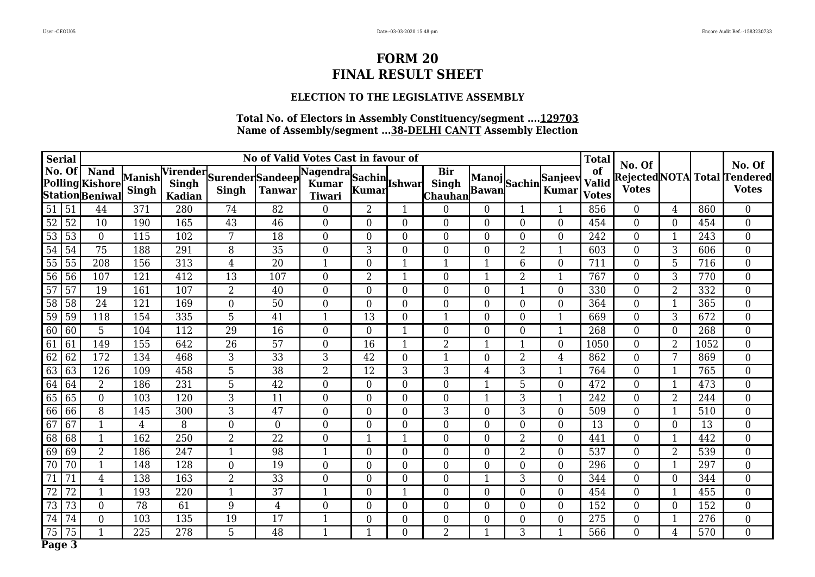### **ELECTION TO THE LEGISLATIVE ASSEMBLY**

| <b>Serial</b> | No of Valid Votes Cast in favour of |                                                          |              |               |                                           |                  |                                         |                  |                  |                                        |                  |                | <b>Total</b>                         |                                    |                        |                | No. Of |                                              |
|---------------|-------------------------------------|----------------------------------------------------------|--------------|---------------|-------------------------------------------|------------------|-----------------------------------------|------------------|------------------|----------------------------------------|------------------|----------------|--------------------------------------|------------------------------------|------------------------|----------------|--------|----------------------------------------------|
| No. Of        |                                     | <b>Nand</b><br>Polling Kishore Manish<br>Station Beniwal | <b>Singh</b> | <b>Kadian</b> | Virender Surender Sandeep<br><b>Singh</b> | <b>Tanwar</b>    | Nagendra Sachin Ishwar<br><b>Tiwari</b> | Kumar            |                  | <b>Bir</b><br><b>Singh</b><br> Chauhan |                  |                | Manoj<br>Bawan Sachin Kumar<br>Kumar | of<br><b>Valid</b><br><b>Votes</b> | No. Of<br><b>Votes</b> |                |        | Rejected NOTA Total Tendered<br><b>Votes</b> |
| 51            | 51                                  | 44                                                       | 371          | 280           | 74                                        | 82               | $\overline{0}$                          | $\overline{2}$   |                  | $\Omega$                               | 0                |                |                                      | 856                                | $\overline{0}$         | 4              | 860    | $\boldsymbol{0}$                             |
| 52            | 52                                  | 10                                                       | 190          | 165           | 43                                        | 46               | $\boldsymbol{0}$                        | $\overline{0}$   | $\overline{0}$   | $\overline{0}$                         | $\overline{0}$   | $\overline{0}$ | $\overline{0}$                       | 454                                | $\overline{0}$         | $\theta$       | 454    | $\boldsymbol{0}$                             |
| 53            | 53                                  | $\boldsymbol{0}$                                         | 115          | 102           | 7                                         | 18               | 0                                       | $\overline{0}$   | $\overline{0}$   | $\overline{0}$                         | $\overline{0}$   | $\Omega$       | $\overline{0}$                       | 242                                | $\mathbf{0}$           | 1              | 243    | $\boldsymbol{0}$                             |
| 54            | 54                                  | 75                                                       | 188          | 291           | 8                                         | 35               | $\boldsymbol{0}$                        | 3                | $\boldsymbol{0}$ | $\overline{0}$                         | $\overline{0}$   | $\overline{2}$ | $\mathbf{1}$                         | 603                                | $\overline{0}$         | 3              | 606    | $\boldsymbol{0}$                             |
| 55            | 55                                  | 208                                                      | 156          | 313           | $\overline{4}$                            | 20               | $\mathbf{1}$                            | $\overline{0}$   | 1                | 1                                      | $\mathbf 1$      | 6              | $\overline{0}$                       | 711                                | $\boldsymbol{0}$       | 5              | 716    | $\boldsymbol{0}$                             |
| 56            | 56                                  | 107                                                      | 121          | 412           | 13                                        | 107              | $\boldsymbol{0}$                        | $\overline{2}$   | 1                | $\mathbf{0}$                           |                  | $\overline{2}$ |                                      | 767                                | $\boldsymbol{0}$       | 3              | 770    | $\overline{0}$                               |
| 57            | 57                                  | 19                                                       | 161          | 107           | $\overline{2}$                            | 40               | $\boldsymbol{0}$                        | $\overline{0}$   | $\boldsymbol{0}$ | $\overline{0}$                         | $\overline{0}$   |                | $\overline{0}$                       | 330                                | $\boldsymbol{0}$       | $\overline{2}$ | 332    | $\overline{0}$                               |
| 58            | $\overline{58}$                     | 24                                                       | 121          | 169           | $\overline{0}$                            | 50               | $\overline{0}$                          | $\overline{0}$   | $\overline{0}$   | $\mathbf{0}$                           | $\overline{0}$   | $\overline{0}$ | $\overline{0}$                       | 364                                | $\overline{0}$         |                | 365    | $\overline{0}$                               |
| 59            | 59                                  | 118                                                      | 154          | 335           | 5                                         | 41               | 1                                       | 13               | $\overline{0}$   | 1                                      | $\overline{0}$   | $\Omega$       |                                      | 669                                | $\overline{0}$         | 3              | 672    | $\overline{0}$                               |
| 60            | 60                                  | $\overline{5}$                                           | 104          | 112           | 29                                        | $\overline{16}$  | $\overline{0}$                          | $\mathbf{0}$     |                  | $\mathbf{0}$                           | $\theta$         | $\Omega$       |                                      | 268                                | $\overline{0}$         | $\theta$       | 268    | $\overline{0}$                               |
| 61            | 61                                  | 149                                                      | 155          | 642           | 26                                        | 57               | $\overline{0}$                          | 16               |                  | $\overline{2}$                         |                  |                | $\Omega$                             | 1050                               | $\overline{0}$         | $\overline{2}$ | 1052   | $\overline{0}$                               |
| 62            | 62                                  | 172                                                      | 134          | 468           | 3                                         | $\overline{33}$  | 3                                       | 42               | $\overline{0}$   | $\mathbf{1}$                           | $\theta$         | $\overline{2}$ | $\overline{4}$                       | 862                                | $\overline{0}$         | 7              | 869    | $\overline{0}$                               |
| 63            | 63                                  | 126                                                      | 109          | 458           | 5                                         | 38               | $\overline{2}$                          | 12               | 3                | 3                                      | 4                | 3              |                                      | 764                                | $\overline{0}$         |                | 765    | $\overline{0}$                               |
| 64            | 64                                  | $\overline{2}$                                           | 186          | 231           | 5                                         | $\overline{42}$  | $\overline{0}$                          | $\mathbf{0}$     | $\overline{0}$   | $\mathbf{0}$                           |                  | 5              | $\overline{0}$                       | 472                                | $\boldsymbol{0}$       | 1              | 473    | $\overline{0}$                               |
| 65            | 65                                  | $\mathbf{0}$                                             | 103          | 120           | $\overline{3}$                            | 11               | $\overline{0}$                          | $\Omega$         | $\overline{0}$   | $\overline{0}$                         |                  | 3              |                                      | 242                                | $\overline{0}$         | $\overline{2}$ | 244    | $\overline{0}$                               |
| 66            | 66                                  | 8                                                        | 145          | 300           | $\overline{3}$                            | $\overline{47}$  | $\overline{0}$                          | $\theta$         | $\overline{0}$   | 3                                      | $\theta$         | 3              | $\Omega$                             | 509                                | $\overline{0}$         |                | 510    | $\overline{0}$                               |
| 67            | 67                                  | $\mathbf{1}$                                             | 4            | 8             | $\overline{0}$                            | $\boldsymbol{0}$ | $\overline{0}$                          | $\Omega$         | $\overline{0}$   | $\overline{0}$                         | $\Omega$         | $\Omega$       | $\overline{0}$                       | 13                                 | $\overline{0}$         | $\Omega$       | 13     | $\overline{0}$                               |
| 68            | 68                                  | $\mathbf{1}$                                             | 162          | 250           | $\overline{2}$                            | $\overline{22}$  | $\boldsymbol{0}$                        |                  |                  | $\overline{0}$                         | $\overline{0}$   | $\overline{2}$ | $\overline{0}$                       | 441                                | $\overline{0}$         |                | 442    | $\overline{0}$                               |
| 69            | 69                                  | $\overline{2}$                                           | 186          | 247           | $\mathbf{1}$                              | 98               | $\mathbf{1}$                            | $\overline{0}$   | $\overline{0}$   | $\overline{0}$                         | $\overline{0}$   | $\overline{2}$ | $\overline{0}$                       | 537                                | $\overline{0}$         | $\overline{2}$ | 539    | $\overline{0}$                               |
| 70            | 70                                  | $\mathbf{1}$                                             | 148          | 128           | $\boldsymbol{0}$                          | 19               | $\boldsymbol{0}$                        | $\overline{0}$   | $\overline{0}$   | $\overline{0}$                         | $\overline{0}$   | $\overline{0}$ | $\overline{0}$                       | 296                                | $\overline{0}$         | 1              | 297    | $\overline{0}$                               |
| 71            | 71                                  | $\overline{4}$                                           | 138          | 163           | $\overline{2}$                            | 33               | $\overline{0}$                          | $\overline{0}$   | $\overline{0}$   | $\overline{0}$                         | -1               | 3              | $\overline{0}$                       | 344                                | $\overline{0}$         | $\overline{0}$ | 344    | $\overline{0}$                               |
| 72            | 72                                  | $\mathbf{1}$                                             | 193          | 220           | $\mathbf{1}$                              | 37               | $\mathbf{1}$                            | $\overline{0}$   | 1                | $\mathbf{0}$                           | $\overline{0}$   | $\overline{0}$ | $\overline{0}$                       | 454                                | $\overline{0}$         | -1             | 455    | $\boldsymbol{0}$                             |
| 73            | 73                                  | $\overline{0}$                                           | 78           | 61            | 9                                         | $\overline{4}$   | 0                                       | $\overline{0}$   | $\overline{0}$   | $\boldsymbol{0}$                       | $\overline{0}$   | $\overline{0}$ | $\overline{0}$                       | 152                                | $\overline{0}$         | $\overline{0}$ | 152    | $\overline{0}$                               |
| 74            | 74                                  | $\overline{0}$                                           | 103          | 135           | 19                                        | 17               | 1                                       | $\boldsymbol{0}$ | $\boldsymbol{0}$ | $\boldsymbol{0}$                       | $\boldsymbol{0}$ | 0              | $\overline{0}$                       | 275                                | $\mathbf{0}$           | 1              | 276    | $\boldsymbol{0}$                             |
| 75            | 75                                  | 1                                                        | 225          | 278           | 5                                         | 48               | $\mathbf{1}$                            |                  | $\overline{0}$   | 2                                      | $\mathbf 1$      | 3              |                                      | 566                                | $\overline{0}$         | 4              | 570    | $\overline{0}$                               |
| Page 3        |                                     |                                                          |              |               |                                           |                  |                                         |                  |                  |                                        |                  |                |                                      |                                    |                        |                |        |                                              |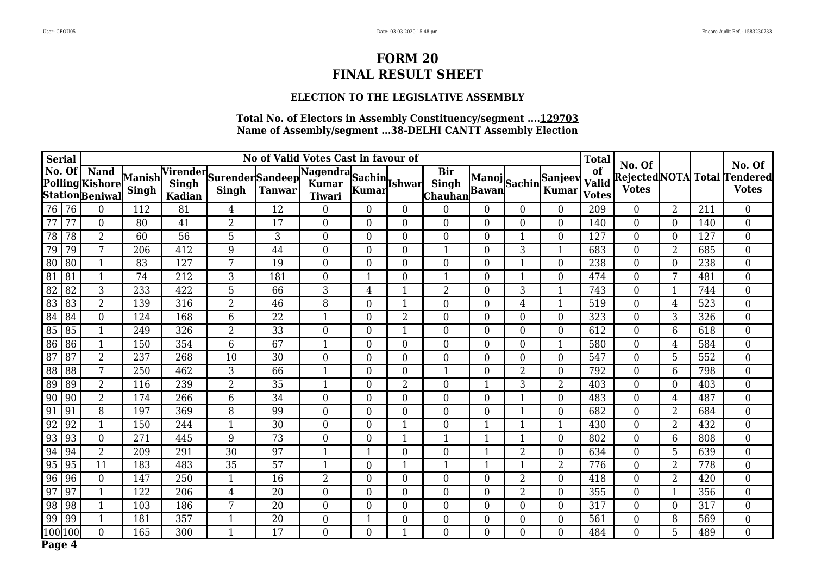### **ELECTION TO THE LEGISLATIVE ASSEMBLY**

| <b>Serial</b>   |                 |                                                         |                  |                 |                                           |               | No of Valid Votes Cast in favour of     |                |                |                                              |                  |                  |                               | <b>Total</b>                       |                        |                  |     | No. Of                                       |
|-----------------|-----------------|---------------------------------------------------------|------------------|-----------------|-------------------------------------------|---------------|-----------------------------------------|----------------|----------------|----------------------------------------------|------------------|------------------|-------------------------------|------------------------------------|------------------------|------------------|-----|----------------------------------------------|
| No. Of          |                 | <b>Nand</b><br>Polling Kishore Manish<br>StationBeniwal | <b>Singh</b>     | <b>Kadian</b>   | Virender Surender Sandeep<br><b>Singh</b> | <b>Tanwar</b> | Nagendra Sachin Ishwar<br><b>Tiwari</b> | Kumar          |                | <b>Bir</b><br><b>Singh</b><br><b>Chauhan</b> | <b>Bawan</b>     |                  | Manoj Sachin Sanjeev<br>Kumar | of<br><b>Valid</b><br><b>Votes</b> | No. Of<br><b>Votes</b> |                  |     | Rejected NOTA Total Tendered<br><b>Votes</b> |
| 76              | 76              | $\overline{0}$                                          | 112              | 81              | $\overline{4}$                            | 12            | $\Omega$                                | $\Omega$       | $\Omega$       | $\theta$                                     | $\Omega$         | $\Omega$         | $\Omega$                      | 209                                | $\overline{0}$         | $\overline{2}$   | 211 | $\overline{0}$                               |
| 77              | 77              | $\mathbf{0}$                                            | 80               | 41              | $\overline{2}$                            | 17            | $\overline{0}$                          | $\theta$       | $\overline{0}$ | $\overline{0}$                               | $\theta$         | $\overline{0}$   | $\Omega$                      | 140                                | $\overline{0}$         | $\overline{0}$   | 140 | $\overline{0}$                               |
| 78              | 78              | $\overline{2}$                                          | 60               | $\overline{56}$ | $5\phantom{.0}$                           | 3             | $\overline{0}$                          | $\Omega$       | $\Omega$       | $\overline{0}$                               | $\Omega$         |                  | $\Omega$                      | 127                                | $\overline{0}$         | $\overline{0}$   | 127 | $\overline{0}$                               |
| 79              | 79              | $\overline{7}$                                          | $\overline{206}$ | 412             | 9                                         | 44            | $\overline{0}$                          | $\Omega$       | $\overline{0}$ | $\mathbf{1}$                                 | $\Omega$         | 3                |                               | 683                                | $\overline{0}$         | $\overline{2}$   | 685 | $\overline{0}$                               |
| $\overline{80}$ | 80              | $\mathbf{1}$                                            | 83               | 127             | 7                                         | 19            | $\Omega$                                | $\Omega$       | $\Omega$       | $\Omega$                                     | $\Omega$         | 1                | $\Omega$                      | 238                                | $\overline{0}$         | $\Omega$         | 238 | $\boldsymbol{0}$                             |
| $\overline{81}$ | 81              | $\mathbf{1}$                                            | 74               | 212             | 3                                         | 181           | $\overline{0}$                          |                | $\Omega$       | $\mathbf{1}$                                 | $\Omega$         | 1                | $\Omega$                      | 474                                | $\overline{0}$         | 7                | 481 | $\boldsymbol{0}$                             |
| 82              | 82              | 3                                                       | 233              | 422             | 5                                         | 66            | 3                                       | 4              |                | $\overline{2}$                               | $\Omega$         | 3                |                               | 743                                | $\overline{0}$         | 1                | 744 | $\boldsymbol{0}$                             |
| 83              | 83              | $\overline{2}$                                          | 139              | 316             | $\overline{2}$                            | 46            | 8                                       | $\Omega$       |                | $\overline{0}$                               | $\Omega$         | 4                |                               | 519                                | $\overline{0}$         | 4                | 523 | $\boldsymbol{0}$                             |
| 84              | 84              | $\mathbf{0}$                                            | 124              | 168             | $6\phantom{1}$                            | 22            | $\mathbf 1$                             | $\Omega$       | $\overline{2}$ | $\overline{0}$                               | $\Omega$         | $\Omega$         | $\Omega$                      | 323                                | $\boldsymbol{0}$       | 3                | 326 | $\overline{0}$                               |
| 85              | 85              | $\mathbf{1}$                                            | 249              | 326             | $\overline{2}$                            | 33            | $\boldsymbol{0}$                        | $\overline{0}$ |                | $\overline{0}$                               | $\Omega$         | $\overline{0}$   | $\overline{0}$                | 612                                | $\boldsymbol{0}$       | 6                | 618 | $\overline{0}$                               |
| 86              | 86              | $\mathbf{1}$                                            | 150              | 354             | $6\phantom{1}$                            | 67            | $\mathbf{1}$                            | $\Omega$       | $\Omega$       | $\overline{0}$                               | $\Omega$         | $\Omega$         |                               | 580                                | $\boldsymbol{0}$       | 4                | 584 | $\overline{0}$                               |
| 87              | 87              | $\overline{2}$                                          | 237              | 268             | 10                                        | 30            | $\overline{0}$                          | $\overline{0}$ | $\overline{0}$ | $\overline{0}$                               | $\overline{0}$   | $\theta$         | $\Omega$                      | 547                                | $\mathbf{0}$           | 5                | 552 | $\overline{0}$                               |
| 88              | 88              | 7                                                       | 250              | 462             | 3                                         | 66            | $\mathbf 1$                             | $\Omega$       | $\Omega$       | $\mathbf{1}$                                 | $\Omega$         | $\overline{2}$   | $\overline{0}$                | 792                                | $\boldsymbol{0}$       | 6                | 798 | $\overline{0}$                               |
| 89              | 89              | $\overline{2}$                                          | 116              | 239             | $\overline{2}$                            | 35            | $\mathbf{1}$                            | $\overline{0}$ | $\overline{2}$ | $\overline{0}$                               |                  | 3                | 2                             | 403                                | $\boldsymbol{0}$       | $\boldsymbol{0}$ | 403 | $\overline{0}$                               |
| 90              | 90              | $\overline{2}$                                          | 174              | 266             | $\,6\,$                                   | 34            | $\overline{0}$                          | $\overline{0}$ | $\overline{0}$ | $\overline{0}$                               | $\overline{0}$   | 1                | $\overline{0}$                | 483                                | $\boldsymbol{0}$       | 4                | 487 | $\overline{0}$                               |
| 91              | 91              | $\overline{8}$                                          | 197              | 369             | $\overline{8}$                            | 99            | $\overline{0}$                          | $\overline{0}$ | $\overline{0}$ | $\overline{0}$                               | $\boldsymbol{0}$ | 1                | $\overline{0}$                | 682                                | $\boldsymbol{0}$       | $\overline{2}$   | 684 | $\overline{0}$                               |
| 92              | 92              | $\mathbf{1}$                                            | 150              | 244             | $\mathbf{1}$                              | 30            | $\overline{0}$                          | $\Omega$       |                | $\overline{0}$                               |                  | 1                |                               | 430                                | $\boldsymbol{0}$       | $\overline{2}$   | 432 | $\overline{0}$                               |
| $\overline{93}$ | $\overline{93}$ | $\mathbf{0}$                                            | $\overline{271}$ | 445             | $\overline{9}$                            | 73            | $\boldsymbol{0}$                        | $\overline{0}$ |                | $\mathbf{1}$                                 |                  | 1                | $\overline{0}$                | 802                                | $\boldsymbol{0}$       | 6                | 808 | $\overline{0}$                               |
| 94              | 94              | $\overline{2}$                                          | 209              | 291             | 30                                        | 97            | 1                                       |                | $\Omega$       | $\overline{0}$                               |                  | 2                | $\overline{0}$                | 634                                | $\boldsymbol{0}$       | 5                | 639 | $\overline{0}$                               |
| 95              | 95              | $\overline{11}$                                         | 183              | 483             | 35                                        | 57            | 1                                       | $\overline{0}$ |                | $\mathbf{1}$                                 |                  | 1                | 2                             | 776                                | $\boldsymbol{0}$       | $\overline{2}$   | 778 | $\overline{0}$                               |
| 96              | 96              | $\mathbf{0}$                                            | 147              | 250             | $\mathbf{1}$                              | 16            | $\overline{2}$                          | $\Omega$       | $\Omega$       | $\overline{0}$                               | $\Omega$         | $\overline{2}$   | $\overline{0}$                | 418                                | $\boldsymbol{0}$       | $\overline{2}$   | 420 | $\overline{0}$                               |
| 97              | 97              | $\mathbf{1}$                                            | 122              | 206             | $\overline{4}$                            | 20            | $\overline{0}$                          | $\overline{0}$ | $\overline{0}$ | $\boldsymbol{0}$                             | $\overline{0}$   | 2                | $\overline{0}$                | 355                                | $\boldsymbol{0}$       | 1                | 356 | $\overline{0}$                               |
| 98              | 98              | $\mathbf{1}$                                            | 103              | 186             | 7                                         | 20            | $\overline{0}$                          | $\overline{0}$ | 0              | $\overline{0}$                               | $\overline{0}$   | $\overline{0}$   | $\overline{0}$                | 317                                | $\boldsymbol{0}$       | $\overline{0}$   | 317 | $\overline{0}$                               |
| 99              | 99              | $\mathbf{1}$                                            | 181              | 357             | $\mathbf{1}$                              | 20            | 0                                       |                | 0              | $\boldsymbol{0}$                             | $\mathbf{0}$     | $\boldsymbol{0}$ | $\overline{0}$                | 561                                | $\boldsymbol{0}$       | 8                | 569 | $\overline{0}$                               |
| l 00 <b>l</b> 1 | 100             | $\overline{0}$                                          | 165              | 300             | 1                                         | 17            | $\overline{0}$                          | $\overline{0}$ |                | $\overline{0}$                               | $\overline{0}$   | $\overline{0}$   | $\overline{0}$                | 484                                | $\overline{0}$         | 5                | 489 | $\overline{0}$                               |
| Page 4          |                 |                                                         |                  |                 |                                           |               |                                         |                |                |                                              |                  |                  |                               |                                    |                        |                  |     |                                              |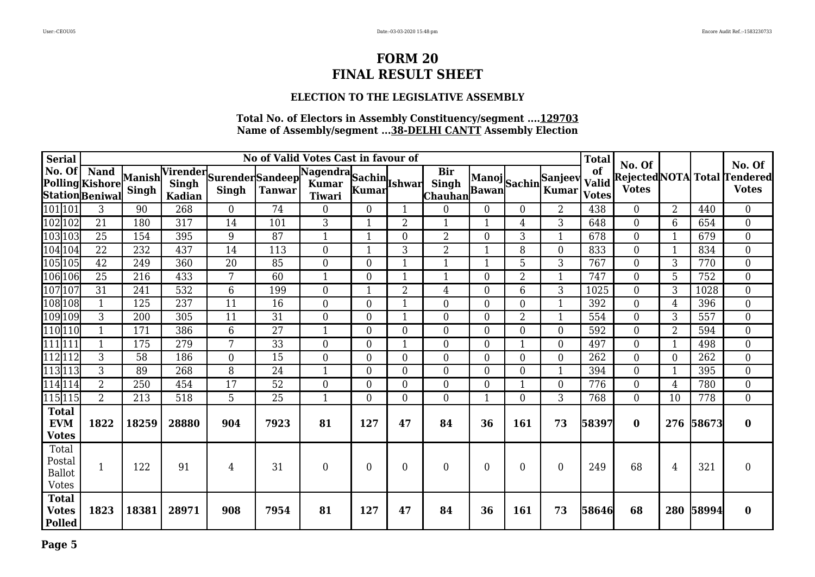### **ELECTION TO THE LEGISLATIVE ASSEMBLY**

| <b>Serial</b>                                    | No of Valid Votes Cast in favour of                      |       |               |                                           |                 |                                         |                  |                |                             |                |                |                             | <b>Total</b>                       | No. Of           |                  |       | No. Of                                       |
|--------------------------------------------------|----------------------------------------------------------|-------|---------------|-------------------------------------------|-----------------|-----------------------------------------|------------------|----------------|-----------------------------|----------------|----------------|-----------------------------|------------------------------------|------------------|------------------|-------|----------------------------------------------|
| No. Of                                           | <b>Nand</b><br>Polling Kishore Manish<br>Station Beniwal | Singh | <b>Kadian</b> | Virender Surender Sandeep<br><b>Singh</b> | <b>Tanwar</b>   | Nagendra Sachin Ishwar<br><b>Tiwari</b> | Kumar            |                | <b>Bir</b><br>Chauhan Bawan |                |                | Manoj<br>Rawan Sachin Kumar | of<br><b>Valid</b><br><b>Votes</b> | <b>Votes</b>     |                  |       | Rejected NOTA Total Tendered<br><b>Votes</b> |
| 101 101                                          | 3                                                        | 90    | 268           | $\mathbf{0}$                              | 74              | $\overline{0}$                          | $\boldsymbol{0}$ |                | $\boldsymbol{0}$            | $\overline{0}$ | $\overline{0}$ | $\overline{2}$              | 438                                | $\boldsymbol{0}$ | $\overline{2}$   | 440   | $\boldsymbol{0}$                             |
| 102 102                                          | 21                                                       | 180   | 317           | 14                                        | 101             | 3                                       | 1                | 2              | $\mathbf{1}$                | 1              | 4              | 3                           | 648                                | $\mathbf{0}$     | 6                | 654   | $\overline{0}$                               |
| 103 103                                          | 25                                                       | 154   | 395           | 9                                         | 87              | 1                                       | 1                | 0              | $\overline{2}$              | $\Omega$       | 3              |                             | 678                                | $\overline{0}$   | 1                | 679   | $\overline{0}$                               |
| 104104                                           | $\overline{22}$                                          | 232   | 437           | 14                                        | 113             | $\overline{0}$                          | $\mathbf 1$      | 3              | $\overline{2}$              | 1              | 8              | $\Omega$                    | 833                                | $\overline{0}$   | 1                | 834   | $\overline{0}$                               |
| 105105                                           | 42                                                       | 249   | 360           | 20                                        | 85              | $\overline{0}$                          | $\overline{0}$   |                | $\mathbf{1}$                |                | 5              | 3                           | 767                                | $\overline{0}$   | 3                | 770   | $\boldsymbol{0}$                             |
| 106 106                                          | 25                                                       | 216   | 433           | 7                                         | 60              | $\mathbf{1}$                            | $\overline{0}$   |                | 1                           | $\Omega$       | $\overline{2}$ | $\mathbf{1}$                | 747                                | $\overline{0}$   | 5                | 752   | $\overline{0}$                               |
| 107 107                                          | 31                                                       | 241   | 532           | 6                                         | 199             | $\overline{0}$                          | 1                | $\overline{2}$ | 4                           | $\theta$       | 6              | 3                           | 1025                               | $\overline{0}$   | 3                | 1028  | $\overline{0}$                               |
| 108 108                                          | 1                                                        | 125   | 237           | 11                                        | 16              | $\overline{0}$                          | $\Omega$         |                | $\overline{0}$              | $\Omega$       | 0              |                             | 392                                | $\overline{0}$   | 4                | 396   | $\boldsymbol{0}$                             |
| 109 109                                          | 3                                                        | 200   | 305           | 11                                        | 31              | $\overline{0}$                          | $\overline{0}$   |                | $\overline{0}$              | $\Omega$       | $\overline{2}$ |                             | 554                                | $\mathbf{0}$     | 3                | 557   | $\overline{0}$                               |
| 110 110                                          | $\mathbf{1}$                                             | 171   | 386           | 6                                         | 27              | $\mathbf{1}$                            | $\Omega$         | $\Omega$       | $\theta$                    | $\Omega$       | 0              | $\Omega$                    | 592                                | $\theta$         | $\overline{2}$   | 594   | $\overline{0}$                               |
| 111111                                           | $\mathbf 1$                                              | 175   | 279           | 7                                         | 33              | $\overline{0}$                          | $\overline{0}$   |                | $\overline{0}$              | $\Omega$       |                | $\Omega$                    | 497                                | $\overline{0}$   | 1                | 498   | $\boldsymbol{0}$                             |
| 12112                                            | 3                                                        | 58    | 186           | $\mathbf{0}$                              | 15              | $\boldsymbol{0}$                        | $\boldsymbol{0}$ | 0              | $\overline{0}$              | $\overline{0}$ | 0              | $\overline{0}$              | 262                                | $\boldsymbol{0}$ | $\boldsymbol{0}$ | 262   | $\boldsymbol{0}$                             |
| 113113                                           | 3                                                        | 89    | 268           | 8                                         | 24              | $\mathbf{1}$                            | $\overline{0}$   | $\overline{0}$ | $\overline{0}$              | $\overline{0}$ | $\overline{0}$ | $\mathbf{1}$                | 394                                | $\boldsymbol{0}$ | 1                | 395   | $\overline{0}$                               |
| 114114                                           | $\overline{2}$                                           | 250   | 454           | 17                                        | 52              | $\overline{0}$                          | $\overline{0}$   | $\Omega$       | $\overline{0}$              | $\overline{0}$ | -1             | $\theta$                    | 776                                | $\overline{0}$   | 4                | 780   | $\overline{0}$                               |
| 115 115                                          | $\overline{2}$                                           | 213   | 518           | $\overline{5}$                            | $\overline{25}$ | $\mathbf{1}$                            | $\overline{0}$   | $\Omega$       | $\theta$                    | 1              | 0              | $\overline{3}$              | 768                                | $\theta$         | 10               | 778   | $\overline{0}$                               |
| <b>Total</b><br><b>EVM</b><br><b>Votes</b>       | 1822                                                     | 18259 | 28880         | 904                                       | 7923            | 81                                      | 127              | 47             | 84                          | 36             | 161            | 73                          | 58397                              | $\bf{0}$         | 276              | 58673 | $\bf{0}$                                     |
| Total<br>Postal<br><b>Ballot</b><br><b>Votes</b> | $\mathbf{1}$                                             | 122   | 91            | 4                                         | 31              | $\overline{0}$                          | $\overline{0}$   | 0              | $\overline{0}$              | $\overline{0}$ | 0              | $\Omega$                    | 249                                | 68               | 4                | 321   | $\boldsymbol{0}$                             |
| <b>Total</b><br><b>Votes</b><br><b>Polled</b>    | 1823                                                     | 18381 | 28971         | 908                                       | 7954            | 81                                      | 127              | 47             | 84                          | 36             | <b>161</b>     | 73                          | 58646                              | 68               | 280              | 58994 | $\bf{0}$                                     |